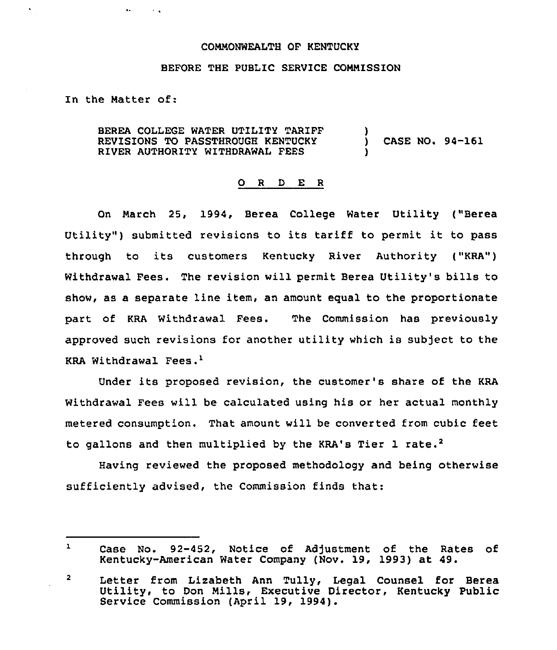## COMMONWEALTH OF KENTUCKY

## BEFORE THE PUBLIC SERVICE COMMISSION

In the Matter of:

 $\mathbf{u}$  .

 $\sim 10$   $\mu$ 

BEREA COLLEGE WATER UTILITY TARIFF REVISIONS TO PASSTHROUGH KENTUCKY RIVER AUTHORITY WITHDRAWAL FEES ) ) CASE NO. 94-161 )

## 0 R <sup>D</sup> E <sup>R</sup>

On March 25, 1994, Berea College Water Utility ("Berea Utility") submitted revisions to its tariff to permit it to pass through to its customers Kentucky River Authority ("KRA") Withdrawal Fees. The revision will permit Berea Utility's bills to show, as a separate line item, an amount equal to the proportionate part of KRA Withdrawal Fees. The Commission has previously approved such revisions for another utility which is subject to the KRA Withdrawal Fees."

Under its proposed revision, the customer's share of the KRA Withdrawal Fees will be calculated using his or her actual monthly metered consumption. That amount will be converted from cubic feet to gallons and then multiplied by the KRA's Tier 1 rate.<sup>2</sup>

Having reviewed the proposed methodology and being otherwise sufficiently advised, the Commission finds that:

 $\mathbf{1}$ Case No. 92-452, Notice of Adjustment of the Rates of Kentucky-American Water Company (Nov. 19, 1993) at 49.

<sup>2</sup> Letter from Lizabeth Ann Tully, Legal Counsel for Berea Utility, to Don Mills, Executive Director, Kentucky Public Service Commission (April 19, 1994).